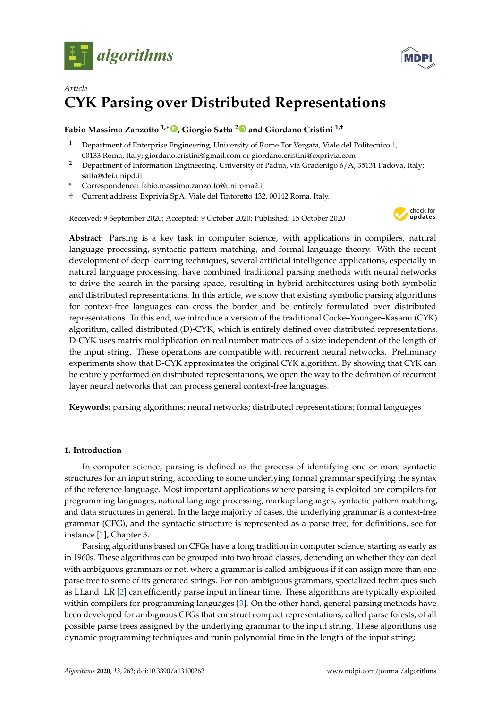



# *Article* **CYK Parsing over Distributed Representations**

## **Fabio Massimo Zanzotto 1,**<sup>∗</sup> **[,](https://orcid.org/0000-0002-7301-3596) Giorgio Satta [2](https://orcid.org/0000-0001-7742-6438) and Giordano Cristini 1,†**

- <sup>1</sup> Department of Enterprise Engineering, University of Rome Tor Vergata, Viale del Politecnico 1, 00133 Roma, Italy; giordano.cristini@gmail.com or giordano.cristini@exprivia.com
- <sup>2</sup> Department of Information Engineering, University of Padua, via Gradenigo 6/A, 35131 Padova, Italy; satta@dei.unipd.it
- **\*** Correspondence: fabio.massimo.zanzotto@uniroma2.it
- † Current address: Exprivia SpA, Viale del Tintoretto 432, 00142 Roma, Italy.

Received: 9 September 2020; Accepted: 9 October 2020; Published: 15 October 2020



**Abstract:** Parsing is a key task in computer science, with applications in compilers, natural language processing, syntactic pattern matching, and formal language theory. With the recent development of deep learning techniques, several artificial intelligence applications, especially in natural language processing, have combined traditional parsing methods with neural networks to drive the search in the parsing space, resulting in hybrid architectures using both symbolic and distributed representations. In this article, we show that existing symbolic parsing algorithms for context-free languages can cross the border and be entirely formulated over distributed representations. To this end, we introduce a version of the traditional Cocke–Younger–Kasami (CYK) algorithm, called distributed (D)-CYK, which is entirely defined over distributed representations. D-CYK uses matrix multiplication on real number matrices of a size independent of the length of the input string. These operations are compatible with recurrent neural networks. Preliminary experiments show that D-CYK approximates the original CYK algorithm. By showing that CYK can be entirely performed on distributed representations, we open the way to the definition of recurrent layer neural networks that can process general context-free languages.

**Keywords:** parsing algorithms; neural networks; distributed representations; formal languages

## **1. Introduction**

In computer science, parsing is defined as the process of identifying one or more syntactic structures for an input string, according to some underlying formal grammar specifying the syntax of the reference language. Most important applications where parsing is exploited are compilers for programming languages, natural language processing, markup languages, syntactic pattern matching, and data structures in general. In the large majority of cases, the underlying grammar is a context-free grammar (CFG), and the syntactic structure is represented as a parse tree; for definitions, see for instance [\[1\]](#page-14-0), Chapter 5.

Parsing algorithms based on CFGs have a long tradition in computer science, starting as early as in 1960s. These algorithms can be grouped into two broad classes, depending on whether they can deal with ambiguous grammars or not, where a grammar is called ambiguous if it can assign more than one parse tree to some of its generated strings. For non-ambiguous grammars, specialized techniques such as LLand LR [\[2\]](#page-14-1) can efficiently parse input in linear time. These algorithms are typically exploited within compilers for programming languages [\[3\]](#page-14-2). On the other hand, general parsing methods have been developed for ambiguous CFGs that construct compact representations, called parse forests, of all possible parse trees assigned by the underlying grammar to the input string. These algorithms use dynamic programming techniques and runin polynomial time in the length of the input string;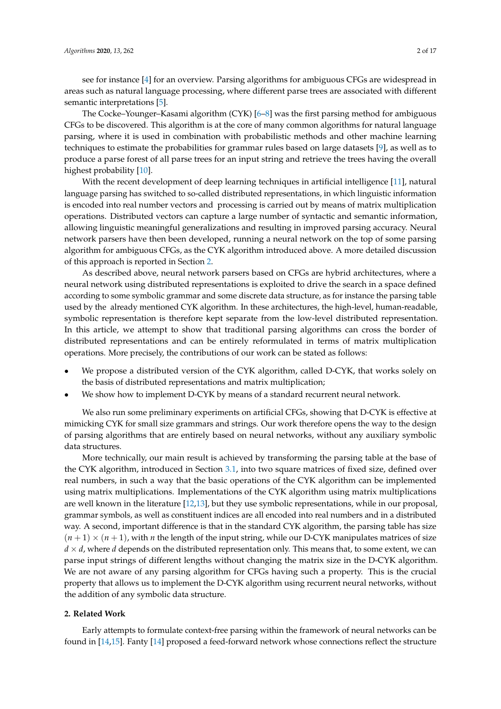see for instance [\[4\]](#page-14-3) for an overview. Parsing algorithms for ambiguous CFGs are widespread in areas such as natural language processing, where different parse trees are associated with different semantic interpretations [\[5\]](#page-14-4).

The Cocke–Younger–Kasami algorithm (CYK) [\[6](#page-14-5)[–8\]](#page-14-6) was the first parsing method for ambiguous CFGs to be discovered. This algorithm is at the core of many common algorithms for natural language parsing, where it is used in combination with probabilistic methods and other machine learning techniques to estimate the probabilities for grammar rules based on large datasets [\[9\]](#page-14-7), as well as to produce a parse forest of all parse trees for an input string and retrieve the trees having the overall highest probability [\[10\]](#page-14-8).

With the recent development of deep learning techniques in artificial intelligence [\[11\]](#page-14-9), natural language parsing has switched to so-called distributed representations, in which linguistic information is encoded into real number vectors and processing is carried out by means of matrix multiplication operations. Distributed vectors can capture a large number of syntactic and semantic information, allowing linguistic meaningful generalizations and resulting in improved parsing accuracy. Neural network parsers have then been developed, running a neural network on the top of some parsing algorithm for ambiguous CFGs, as the CYK algorithm introduced above. A more detailed discussion of this approach is reported in Section [2.](#page-1-0)

As described above, neural network parsers based on CFGs are hybrid architectures, where a neural network using distributed representations is exploited to drive the search in a space defined according to some symbolic grammar and some discrete data structure, as for instance the parsing table used by the already mentioned CYK algorithm. In these architectures, the high-level, human-readable, symbolic representation is therefore kept separate from the low-level distributed representation. In this article, we attempt to show that traditional parsing algorithms can cross the border of distributed representations and can be entirely reformulated in terms of matrix multiplication operations. More precisely, the contributions of our work can be stated as follows:

- We propose a distributed version of the CYK algorithm, called D-CYK, that works solely on the basis of distributed representations and matrix multiplication;
- We show how to implement D-CYK by means of a standard recurrent neural network.

We also run some preliminary experiments on artificial CFGs, showing that D-CYK is effective at mimicking CYK for small size grammars and strings. Our work therefore opens the way to the design of parsing algorithms that are entirely based on neural networks, without any auxiliary symbolic data structures.

More technically, our main result is achieved by transforming the parsing table at the base of the CYK algorithm, introduced in Section [3.1,](#page-3-0) into two square matrices of fixed size, defined over real numbers, in such a way that the basic operations of the CYK algorithm can be implemented using matrix multiplications. Implementations of the CYK algorithm using matrix multiplications are well known in the literature [\[12](#page-14-10)[,13\]](#page-15-0), but they use symbolic representations, while in our proposal, grammar symbols, as well as constituent indices are all encoded into real numbers and in a distributed way. A second, important difference is that in the standard CYK algorithm, the parsing table has size  $(n + 1) \times (n + 1)$ , with *n* the length of the input string, while our D-CYK manipulates matrices of size  $d \times d$ , where *d* depends on the distributed representation only. This means that, to some extent, we can parse input strings of different lengths without changing the matrix size in the D-CYK algorithm. We are not aware of any parsing algorithm for CFGs having such a property. This is the crucial property that allows us to implement the D-CYK algorithm using recurrent neural networks, without the addition of any symbolic data structure.

### <span id="page-1-0"></span>**2. Related Work**

Early attempts to formulate context-free parsing within the framework of neural networks can be found in [\[14](#page-15-1)[,15\]](#page-15-2). Fanty [\[14\]](#page-15-1) proposed a feed-forward network whose connections reflect the structure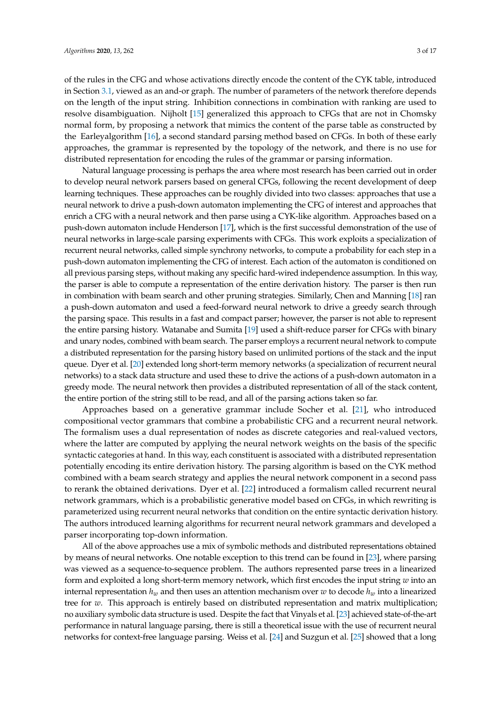of the rules in the CFG and whose activations directly encode the content of the CYK table, introduced in Section [3.1,](#page-3-0) viewed as an and-or graph. The number of parameters of the network therefore depends on the length of the input string. Inhibition connections in combination with ranking are used to resolve disambiguation. Nijholt [\[15\]](#page-15-2) generalized this approach to CFGs that are not in Chomsky normal form, by proposing a network that mimics the content of the parse table as constructed by the Earleyalgorithm [\[16\]](#page-15-3), a second standard parsing method based on CFGs. In both of these early approaches, the grammar is represented by the topology of the network, and there is no use for distributed representation for encoding the rules of the grammar or parsing information.

Natural language processing is perhaps the area where most research has been carried out in order to develop neural network parsers based on general CFGs, following the recent development of deep learning techniques. These approaches can be roughly divided into two classes: approaches that use a neural network to drive a push-down automaton implementing the CFG of interest and approaches that enrich a CFG with a neural network and then parse using a CYK-like algorithm. Approaches based on a push-down automaton include Henderson [\[17\]](#page-15-4), which is the first successful demonstration of the use of neural networks in large-scale parsing experiments with CFGs. This work exploits a specialization of recurrent neural networks, called simple synchrony networks, to compute a probability for each step in a push-down automaton implementing the CFG of interest. Each action of the automaton is conditioned on all previous parsing steps, without making any specific hard-wired independence assumption. In this way, the parser is able to compute a representation of the entire derivation history. The parser is then run in combination with beam search and other pruning strategies. Similarly, Chen and Manning [\[18\]](#page-15-5) ran a push-down automaton and used a feed-forward neural network to drive a greedy search through the parsing space. This results in a fast and compact parser; however, the parser is not able to represent the entire parsing history. Watanabe and Sumita [\[19\]](#page-15-6) used a shift-reduce parser for CFGs with binary and unary nodes, combined with beam search. The parser employs a recurrent neural network to compute a distributed representation for the parsing history based on unlimited portions of the stack and the input queue. Dyer et al. [\[20\]](#page-15-7) extended long short-term memory networks (a specialization of recurrent neural networks) to a stack data structure and used these to drive the actions of a push-down automaton in a greedy mode. The neural network then provides a distributed representation of all of the stack content, the entire portion of the string still to be read, and all of the parsing actions taken so far.

Approaches based on a generative grammar include Socher et al. [\[21\]](#page-15-8), who introduced compositional vector grammars that combine a probabilistic CFG and a recurrent neural network. The formalism uses a dual representation of nodes as discrete categories and real-valued vectors, where the latter are computed by applying the neural network weights on the basis of the specific syntactic categories at hand. In this way, each constituent is associated with a distributed representation potentially encoding its entire derivation history. The parsing algorithm is based on the CYK method combined with a beam search strategy and applies the neural network component in a second pass to rerank the obtained derivations. Dyer et al. [\[22\]](#page-15-9) introduced a formalism called recurrent neural network grammars, which is a probabilistic generative model based on CFGs, in which rewriting is parameterized using recurrent neural networks that condition on the entire syntactic derivation history. The authors introduced learning algorithms for recurrent neural network grammars and developed a parser incorporating top-down information.

All of the above approaches use a mix of symbolic methods and distributed representations obtained by means of neural networks. One notable exception to this trend can be found in [\[23\]](#page-15-10), where parsing was viewed as a sequence-to-sequence problem. The authors represented parse trees in a linearized form and exploited a long short-term memory network, which first encodes the input string *w* into an internal representation  $h_w$  and then uses an attention mechanism over *w* to decode  $h_w$  into a linearized tree for *w*. This approach is entirely based on distributed representation and matrix multiplication; no auxiliary symbolic data structure is used. Despite the fact that Vinyals et al. [\[23\]](#page-15-10) achieved state-of-the-art performance in natural language parsing, there is still a theoretical issue with the use of recurrent neural networks for context-free language parsing. Weiss et al. [\[24\]](#page-15-11) and Suzgun et al. [\[25\]](#page-15-12) showed that a long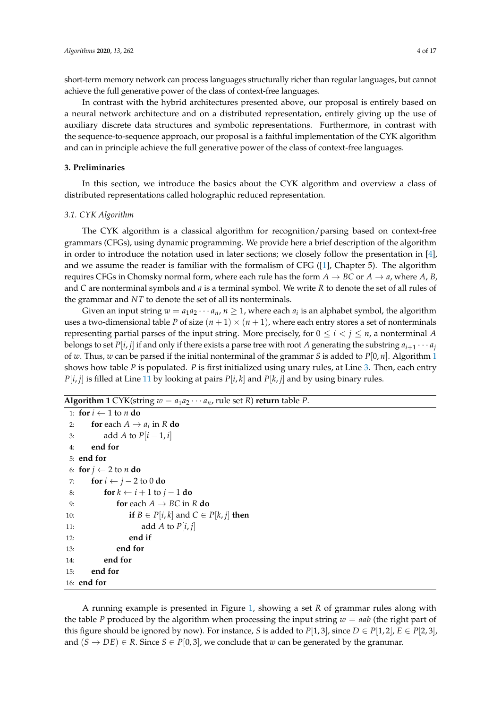short-term memory network can process languages structurally richer than regular languages, but cannot achieve the full generative power of the class of context-free languages.

In contrast with the hybrid architectures presented above, our proposal is entirely based on a neural network architecture and on a distributed representation, entirely giving up the use of auxiliary discrete data structures and symbolic representations. Furthermore, in contrast with the sequence-to-sequence approach, our proposal is a faithful implementation of the CYK algorithm and can in principle achieve the full generative power of the class of context-free languages.

## **3. Preliminaries**

In this section, we introduce the basics about the CYK algorithm and overview a class of distributed representations called holographic reduced representation.

## <span id="page-3-0"></span>*3.1. CYK Algorithm*

The CYK algorithm is a classical algorithm for recognition/parsing based on context-free grammars (CFGs), using dynamic programming. We provide here a brief description of the algorithm in order to introduce the notation used in later sections; we closely follow the presentation in [\[4\]](#page-14-3), and we assume the reader is familiar with the formalism of CFG ([\[1\]](#page-14-0), Chapter 5). The algorithm requires CFGs in Chomsky normal form, where each rule has the form  $A \rightarrow BC$  or  $A \rightarrow a$ , where  $A$ ,  $B$ , and *C* are nonterminal symbols and *a* is a terminal symbol. We write *R* to denote the set of all rules of the grammar and *NT* to denote the set of all its nonterminals.

Given an input string  $w = a_1 a_2 \cdots a_n$ ,  $n \ge 1$ , where each  $a_i$  is an alphabet symbol, the algorithm uses a two-dimensional table *P* of size  $(n + 1) \times (n + 1)$ , where each entry stores a set of nonterminals representing partial parses of the input string. More precisely, for  $0 \le i \le j \le n$ , a nonterminal A belongs to set  $P[i, j]$  if and only if there exists a parse tree with root A generating the substring  $a_{i+1} \cdots a_j$ of *w*. Thus, *w* can be parsed if the initial nonterminal of the grammar *S* is added to *P*[0, *n*]. Algorithm [1](#page-3-1) shows how table *P* is populated. *P* is first initialized using unary rules, at Line [3.](#page-3-0) Then, each entry  $P[i, j]$  is filled at Line [11](#page-3-0) by looking at pairs  $P[i, k]$  and  $P[k, j]$  and by using binary rules.

<span id="page-3-1"></span>**Algorithm 1** CYK(string  $w = a_1 a_2 \cdots a_n$ , rule set *R*) **return** table *P*.

```
1: for i \leftarrow 1 to n do
 2: for each A \rightarrow a_i in R do
3: add A to P[i-1,i]4: end for
5: end for
6: for j \leftarrow 2 to n do
7: for i \leftarrow j - 2 to 0 do
8: for k \leftarrow i + 1 to j - 1 do
9: for each A \rightarrow BC in R do
10: if B \in P[i, k] and C \in P[k, j] then
11: add A to P[i, j]12: end if
13: end for
14: end for
15: end for
16: end for
```
A running example is presented in Figure [1,](#page-4-0) showing a set *R* of grammar rules along with the table *P* produced by the algorithm when processing the input string  $w = aab$  (the right part of this figure should be ignored by now). For instance, *S* is added to  $P[1,3]$ , since  $D \in P[1,2]$ ,  $E \in P[2,3]$ , and  $(S \to DE) \in R$ . Since  $S \in P[0,3]$ , we conclude that *w* can be generated by the grammar.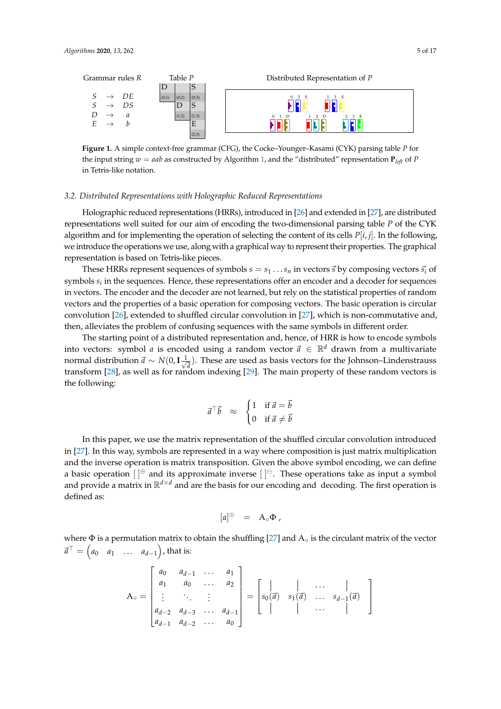<span id="page-4-0"></span>

**Figure 1.** A simple context-free grammar (CFG), the Cocke–Younger–Kasami (CYK) parsing table *P* for the input string  $w = aab$  as constructed by Algorithm [1,](#page-3-1) and the "distributed" representation  $P_{left}$  of *P* in Tetris-like notation.

#### <span id="page-4-1"></span>*3.2. Distributed Representations with Holographic Reduced Representations*

Holographic reduced representations (HRRs), introduced in [\[26\]](#page-15-13) and extended in [\[27\]](#page-15-14), are distributed representations well suited for our aim of encoding the two-dimensional parsing table *P* of the CYK algorithm and for implementing the operation of selecting the content of its cells *P*[*i*, *j*]. In the following, we introduce the operations we use, along with a graphical way to represent their properties. The graphical representation is based on Tetris-like pieces.

These HRRs represent sequences of symbols  $s = s_1 \dots s_n$  in vectors  $\vec{s}$  by composing vectors  $\vec{s}_i$  of  $\mathop{\mathrm{symbols}}\nolimits_i$  in the sequences. Hence, these representations offer an encoder and a decoder for sequences in vectors. The encoder and the decoder are not learned, but rely on the statistical properties of random vectors and the properties of a basic operation for composing vectors. The basic operation is circular convolution [\[26\]](#page-15-13), extended to shuffled circular convolution in [\[27\]](#page-15-14), which is non-commutative and, then, alleviates the problem of confusing sequences with the same symbols in different order.

The starting point of a distributed representation and, hence, of HRR is how to encode symbols into vectors: symbol *a* is encoded using a random vector  $\vec{a} \in \mathbb{R}^d$  drawn from a multivariate normal distribution  $\vec{a} \sim N(0, \mathbf{I})$ *d* ). These are used as basis vectors for the Johnson–Lindenstrauss transform [\[28\]](#page-15-15), as well as for random indexing [\[29\]](#page-15-16). The main property of these random vectors is the following:

$$
\vec{a}^\top \vec{b} \approx \begin{cases} 1 & \text{if } \vec{a} = \vec{b} \\ 0 & \text{if } \vec{a} \neq \vec{b} \end{cases}
$$

In this paper, we use the matrix representation of the shuffled circular convolution introduced in [\[27\]](#page-15-14). In this way, symbols are represented in a way where composition is just matrix multiplication and the inverse operation is matrix transposition. Given the above symbol encoding, we can define a basic operation  $\left[\right]^\oplus$  and its approximate inverse  $\left[\right]^\ominus$ . These operations take as input a symbol and provide a matrix in  $\mathbb{R}^{d \times d}$  and are the basis for our encoding and decoding. The first operation is defined as:

$$
[a]^{\oplus} = A_{\circ} \Phi ,
$$

where  $\Phi$  is a permutation matrix to obtain the shuffling [\[27\]](#page-15-14) and  $A_{\circ}$  is the circulant matrix of the vector  $\vec{a}^{\top} = \begin{pmatrix} a_0 & a_1 & \dots & a_{d-1} \end{pmatrix}$ , that is:

$$
A_{\circ} = \begin{bmatrix} a_0 & a_{d-1} & \dots & a_1 \\ a_1 & a_0 & \dots & a_2 \\ \vdots & \ddots & \vdots & \vdots \\ a_{d-2} & a_{d-3} & \dots & a_{d-1} \\ a_{d-1} & a_{d-2} & \dots & a_0 \end{bmatrix} = \begin{bmatrix} | & & | & \dots & | \\ s_0(\vec{a}) & s_1(\vec{a}) & \dots & s_{d-1}(\vec{a}) \\ \vdots & \vdots & \ddots & \vdots \\ s_0(\vec{a}) & s_1(\vec{a}) & \dots & s_{d-1}(\vec{a}) \end{bmatrix}
$$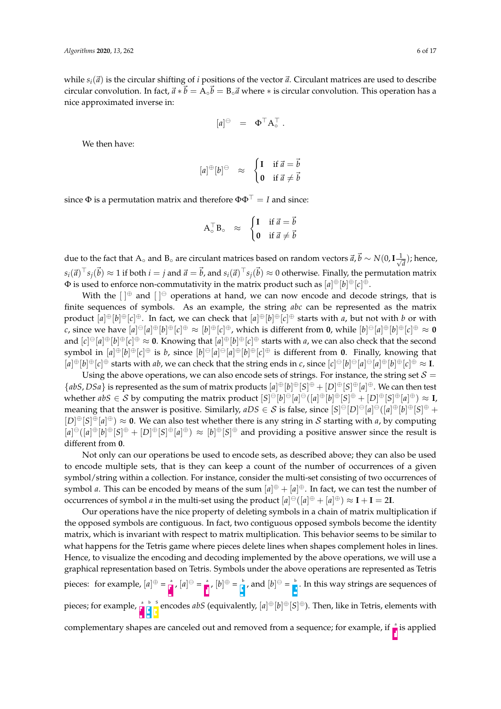while  $s_i(\vec{a})$  is the circular shifting of *i* positions of the vector  $\vec{a}$ . Circulant matrices are used to describe circular convolution. In fact*,*  $\vec{a} * \vec{b} = A_\circ \vec{b} = B_\circ \vec{a}$  where  $*$  is circular convolution. This operation has a nice approximated inverse in:

$$
[a]^\ominus = \Phi^\top A_\circ^\top.
$$

We then have:

$$
[a]^\oplus[b]^\ominus \quad \approx \quad \begin{cases} \mathbf{I} & \text{if } \vec{a} = \vec{b} \\ \mathbf{0} & \text{if } \vec{a} \neq \vec{b} \end{cases}
$$

since  $\Phi$  is a permutation matrix and therefore  $\Phi \Phi^{\top} = I$  and since:

$$
A_{\circ}^{\top} B_{\circ} \approx \begin{cases} I & \text{if } \vec{a} = \vec{b} \\ 0 & \text{if } \vec{a} \neq \vec{b} \end{cases}
$$

due to the fact that A<sub>○</sub> and B<sub>○</sub> are circulant matrices based on random vectors  $\vec{a}, \vec{b} \sim N(0, I \frac{1}{\sqrt{2}})$  $\frac{1}{d}$ ); hence,  $s_i(\vec{a})^\top s_j(\vec{b}) \approx 1$  if both  $i=j$  and  $\vec{a}=\vec{b}$ , and  $s_i(\vec{a})^\top s_j(\vec{b}) \approx 0$  otherwise. Finally, the permutation matrix  $\Phi$  is used to enforce non-commutativity in the matrix product such as  $[a]^\oplus[b]^\oplus[c]^\oplus$ .

With the  $\begin{bmatrix} \begin{bmatrix} \end{bmatrix}^{\oplus}$  and  $\begin{bmatrix} \end{bmatrix}^{\ominus}$  operations at hand, we can now encode and decode strings, that is finite sequences of symbols. As an example, the string *abc* can be represented as the matrix product [*a*] <sup>⊕</sup>[*b*] <sup>⊕</sup>[*c*] <sup>⊕</sup>. In fact, we can check that [*a*] <sup>⊕</sup>[*b*] <sup>⊕</sup>[*c*] <sup>⊕</sup> starts with *a*, but not with *b* or with  $c$ , since we have  $[a]^\oplus[a]^\oplus[b]^\oplus[c]^\oplus \approx [b]^\oplus[c]^\oplus$ , which is different from **0**, while  $[b]^\oplus[a]^\oplus[b]^\oplus[c]^\oplus \approx \mathbf{0}$ and  $[c]^\oplus[a]^\oplus[b]^\oplus[c]^\oplus\approx$  0. Knowing that  $[a]^\oplus[b]^\oplus[c]^\oplus$  starts with *a*, we can also check that the second symbol in  $[a] \oplus [b] \oplus [c] \oplus$  is *b*, since  $[b] \ominus [a] \oplus [a] \oplus [b] \oplus [c] \oplus$  is different from 0. Finally, knowing that  $[a] \oplus [b] \oplus [c] \oplus$  starts with *ab*, we can check that the string ends in *c*, since  $[c] \ominus [b] \ominus [a] \oplus [a] \oplus [b] \oplus [c] \oplus \infty$  I.

Using the above operations, we can also encode sets of strings. For instance, the string set  $S =$  ${a b S, D S a}$  is represented as the sum of matrix products  $[a]^{\oplus}[b]^{\oplus}[S]^{\oplus}+[D]^{\oplus}[S]^{\oplus}[a]^{\oplus}$ . We can then test whether  $abS \in S$  by computing the matrix product  $[S]^{\ominus}[b]^{\ominus}[a]^{\ominus}([a]^{\oplus}[b]^{\oplus}[S]^{\oplus} + [D]^{\oplus}[S]^{\oplus}[a]^{\oplus}) \approx I$ , meaning that the answer is positive. Similarly,  $aDS \in S$  is false, since  $[S]^{\ominus}[D]^{\ominus}[a]^{\ominus}([a]^{\oplus}[b]^{\oplus}[S]^{\oplus}$  + [*D*]<sup>⊕</sup>[*S*]<sup>⊕</sup>[ $a$ ]<sup>⊕</sup>) ≈ 0. We can also test whether there is any string in *S* starting with *a*, by computing  $[a] \ominus ([a] \oplus [b] \oplus [S] \oplus + [D] \oplus [S] \oplus [a] \oplus) \approx [b] \oplus [S] \oplus$  and providing a positive answer since the result is different from **0**.

Not only can our operations be used to encode sets, as described above; they can also be used to encode multiple sets, that is they can keep a count of the number of occurrences of a given symbol/string within a collection. For instance, consider the multi-set consisting of two occurrences of symbol *a*. This can be encoded by means of the sum  $[a] \oplus + [a] \oplus$ . In fact, we can test the number of occurrences of symbol *a* in the multi-set using the product  $[a]^\ominus([a]^\oplus + [a]^\oplus) \approx I + I = 2I$ .

Our operations have the nice property of deleting symbols in a chain of matrix multiplication if the opposed symbols are contiguous. In fact, two contiguous opposed symbols become the identity matrix, which is invariant with respect to matrix multiplication. This behavior seems to be similar to what happens for the Tetris game where pieces delete lines when shapes complement holes in lines. Hence, to visualize the encoding and decoding implemented by the above operations, we will use a graphical representation based on Tetris. Symbols under the above operations are represented as Tetris pieces: for example,  $[a]^\oplus = \frac{a}{b}$ ,  $[a]^\ominus = \frac{a}{b}$ ,  $[b]^\oplus = \frac{b}{b}$ , and  $[b]^\ominus = \frac{b}{b}$ . In this way strings are sequences of pieces; for example,  $\frac{a}{n}$   $\frac{b}{n}$  encodes *abS* (equivalently,  $[a] \oplus [b] \oplus [S] \oplus$ ). Then, like in Tetris, elements with complementary shapes are canceled out and removed from a sequence; for example, if is applied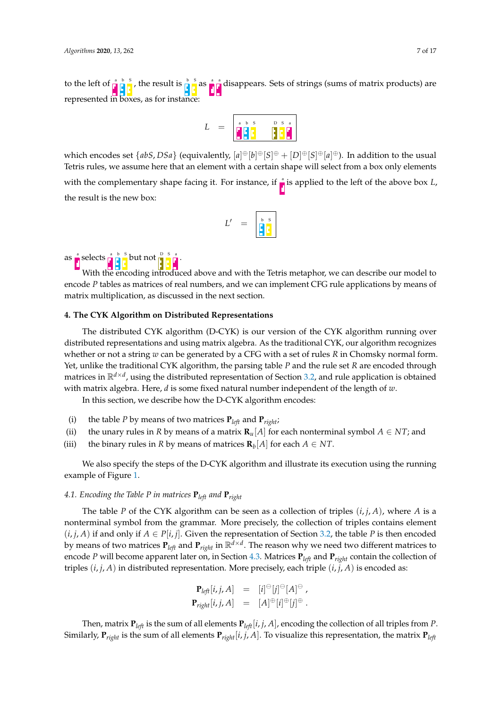to the left of  $\frac{a}{b}$   $\frac{b}{b}$ , the result is  $\frac{b}{b}$  as  $\frac{a}{b}$  disappears. Sets of strings (sums of matrix products) are represented in boxes, as for instance:



which encodes set  $\{abS, DSa\}$  (equivalently,  $[a] \oplus [b] \oplus [S] \oplus + [D] \oplus [S] \oplus [a] \oplus$ ). In addition to the usual Tetris rules, we assume here that an element with a certain shape will select from a box only elements with the complementary shape facing it. For instance, if **i** is applied to the left of the above box *L*, the result is the new box:

$$
L' = \begin{bmatrix} \mathbf{b} & \mathbf{s} \\ \mathbf{c} & \mathbf{c} \end{bmatrix}
$$

# as  $\frac{a}{\Box}$  selects  $\frac{a}{\Box}$   $\frac{b}{\Box}$  but not  $\frac{b}{\Box}$   $\frac{s}{\Box}$  a

With the encoding introduced above and with the Tetris metaphor, we can describe our model to encode *P* tables as matrices of real numbers, and we can implement CFG rule applications by means of matrix multiplication, as discussed in the next section.

#### **4. The CYK Algorithm on Distributed Representations**

The distributed CYK algorithm (D-CYK) is our version of the CYK algorithm running over distributed representations and using matrix algebra. As the traditional CYK, our algorithm recognizes whether or not a string *w* can be generated by a CFG with a set of rules *R* in Chomsky normal form. Yet, unlike the traditional CYK algorithm, the parsing table *P* and the rule set *R* are encoded through matrices in R*d*×*<sup>d</sup>* , using the distributed representation of Section [3.2,](#page-4-1) and rule application is obtained with matrix algebra. Here, *d* is some fixed natural number independent of the length of *w*.

In this section, we describe how the D-CYK algorithm encodes:

- (i) the table *P* by means of two matrices  $P_{left}$  and  $P_{right}$ ;
- (ii) the unary rules in *R* by means of a matrix  $\mathbf{R}_u[A]$  for each nonterminal symbol  $A \in NT$ ; and
- (iii) the binary rules in *R* by means of matrices  $\mathbf{R}_b[A]$  for each  $A \in NT$ .

We also specify the steps of the D-CYK algorithm and illustrate its execution using the running example of Figure [1.](#page-4-0)

## <span id="page-6-0"></span>*4.1. Encoding the Table P in matrices* **P***left and* **P***right*

The table *P* of the CYK algorithm can be seen as a collection of triples  $(i, j, A)$ , where *A* is a nonterminal symbol from the grammar. More precisely, the collection of triples contains element  $(i, j, A)$  if and only if  $A \in P[i, j]$ . Given the representation of Section [3.2,](#page-4-1) the table *P* is then encoded by means of two matrices  $\mathbf{P}_{left}$  and  $\mathbf{P}_{right}$  in  $\mathbb{R}^{d\times d}.$  The reason why we need two different matrices to encode *P* will become apparent later on, in Section [4.3.](#page-8-0) Matrices **P***left* and **P***right* contain the collection of triples  $(i, j, A)$  in distributed representation. More precisely, each triple  $(i, j, A)$  is encoded as:

$$
\begin{array}{rcl}\n\mathbf{P}_{left}[i,j,A] & = & [i]^\ominus[j]^\ominus[A]^\ominus \\
\mathbf{P}_{right}[i,j,A] & = & [A]^\oplus[i]^\oplus[j]^\oplus\n\end{array}
$$

Then, matrix  $P_{left}$  is the sum of all elements  $P_{left}[i, j, A]$ , encoding the collection of all triples from *P*. Similarly,  $P_{right}$  is the sum of all elements  $P_{right}[i, j, A]$ . To visualize this representation, the matrix  $P_{left}$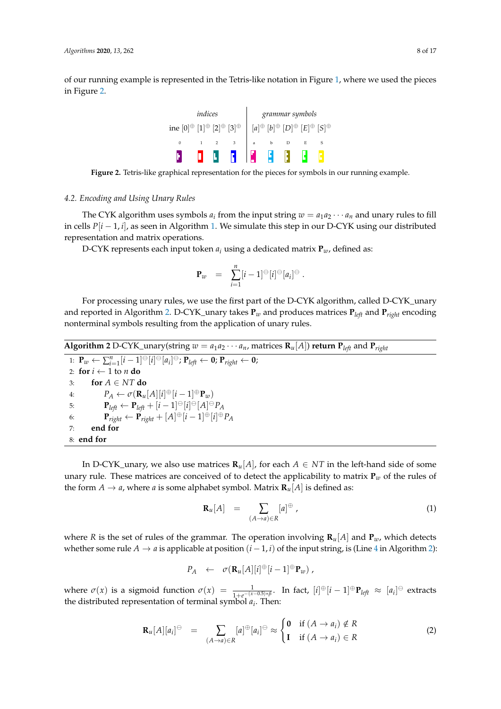<span id="page-7-0"></span>of our running example is represented in the Tetris-like notation in Figure [1,](#page-4-0) where we used the pieces in Figure [2.](#page-7-0)

| indices                                                          |  |  | grammar symbols |   |  |                                                                      |   |  |
|------------------------------------------------------------------|--|--|-----------------|---|--|----------------------------------------------------------------------|---|--|
| ine $[0]^\oplus$<br>$[1]^\oplus$<br>$[2]^\oplus$<br>$[3]^\oplus$ |  |  |                 |   |  | $[a]^\oplus \; [b]^\oplus \; [D]^\oplus \; [E]^\oplus \; [S]^\oplus$ |   |  |
| $\mathbf{0}$                                                     |  |  |                 | a |  |                                                                      | E |  |
|                                                                  |  |  |                 |   |  |                                                                      |   |  |

**Figure 2.** Tetris-like graphical representation for the pieces for symbols in our running example.

## <span id="page-7-2"></span>*4.2. Encoding and Using Unary Rules*

The CYK algorithm uses symbols  $a_i$  from the input string  $w = a_1 a_2 \cdots a_n$  and unary rules to fill in cells *P*[*i* − 1, *i*], as seen in Algorithm [1.](#page-3-1) We simulate this step in our D-CYK using our distributed representation and matrix operations.

D-CYK represents each input token *a<sup>i</sup>* using a dedicated matrix **P***w*, defined as:

$$
\mathbf{P}_w = \sum_{i=1}^n [i-1]^\ominus[i]^\ominus[a_i]^\ominus.
$$

For processing unary rules, we use the first part of the D-CYK algorithm, called D-CYK\_unary and reported in Algorithm [2.](#page-7-1) D-CYK\_unary takes  $P_w$  and produces matrices  $P_{left}$  and  $P_{right}$  encoding nonterminal symbols resulting from the application of unary rules.

<span id="page-7-1"></span>**Algorithm 2** D-CYK\_unary(string  $w = a_1 a_2 \cdots a_n$ , matrices  $\mathbf{R}_u[A]$ ) return  $\mathbf{P}_{left}$  and  $\mathbf{P}_{right}$ 

1:  $\mathbf{P}_w \leftarrow \sum_{i=1}^n [i-1]^\ominus[i]^\ominus[a_i]^\ominus; \mathbf{P}_{left} \leftarrow \mathbf{0}; \mathbf{P}_{right} \leftarrow \mathbf{0};$ 2: **for**  $i \leftarrow 1$  to *n* **do** 3: **for** *A* ∈ *NT* **do** 4:  $P_A \leftarrow \sigma(\mathbf{R}_u[A][i] \oplus [i-1] \oplus \mathbf{P}_w)$ 5: **P**<sub>left</sub>  $\leftarrow$  **P**<sub>left</sub><sup> $+$ </sup>  $[i-1]$  $\ominus$  $[i]$  $\ominus$  $[A]$  $\ominus$  $P_A$ 6: **P**<sub>*right*</sub>  $\leftarrow$  **P**<sub>*right*</sub> + [*A*]<sup> $\oplus$ </sup>[*i* - 1] $\oplus$ [*i*] $\oplus$ *P<sub>A</sub>* 7: **end for** 8: **end for**

In D-CYK\_unary, we also use matrices  $\mathbf{R}_{\mu}[A]$ , for each  $A \in NT$  in the left-hand side of some unary rule. These matrices are conceived of to detect the applicability to matrix  $P_w$  of the rules of the form  $A \rightarrow a$ , where *a* is some alphabet symbol. Matrix  $\mathbf{R}_u[A]$  is defined as:

<span id="page-7-3"></span>
$$
\mathbf{R}_u[A] = \sum_{(A \to a) \in R} [a]^\oplus , \qquad (1)
$$

where *R* is the set of rules of the grammar. The operation involving  $\mathbf{R}_u[A]$  and  $\mathbf{P}_w$ , which detects whether some rule *A*  $\rightarrow$  *a* is applicable at position  $(i - 1, i)$  of the input string, is (Line [4](#page-7-2) in Algorithm [2\)](#page-7-1):

$$
P_A \quad \leftarrow \quad \sigma(\mathbf{R}_u[A][i] \oplus [i-1] \oplus \mathbf{P}_w) \ ,
$$

where  $\sigma(x)$  is a sigmoid function  $\sigma(x) = \frac{1}{1+e^{-(x-0.5)*\beta}}$ . In fact,  $[i] \oplus [i-1] \oplus P_{left} \approx [a_i] \oplus$  extracts the distributed representation of terminal symbol *a<sup>i</sup>* . Then:

$$
\mathbf{R}_{u}[A][a_{i}]^{\ominus} = \sum_{(A\rightarrow a)\in R} [a]^{\oplus} [a_{i}]^{\ominus} \approx \begin{cases} \mathbf{0} & \text{if } (A\rightarrow a_{i}) \notin R \\ \mathbf{I} & \text{if } (A\rightarrow a_{i}) \in R \end{cases}
$$
 (2)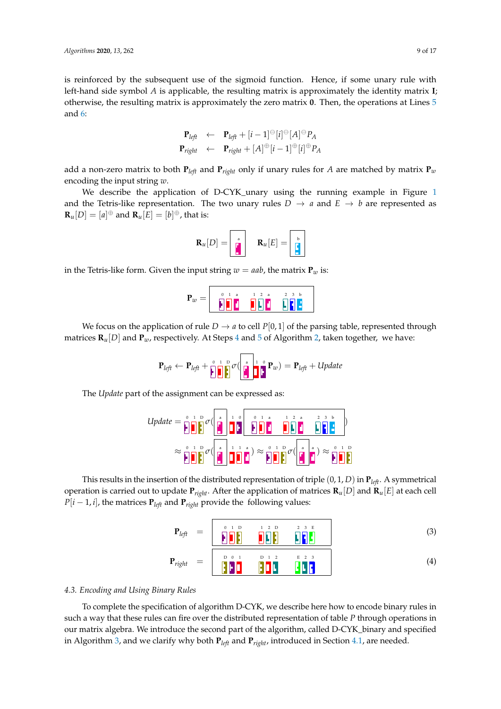is reinforced by the subsequent use of the sigmoid function. Hence, if some unary rule with left-hand side symbol *A* is applicable, the resulting matrix is approximately the identity matrix **I**; otherwise, the resulting matrix is approximately the zero matrix **0**. Then, the operations at Lines [5](#page-7-2) and [6:](#page-7-2)

$$
\begin{array}{rcl}\n\mathbf{P}_{\text{left}} & \leftarrow & \mathbf{P}_{\text{left}} + [i-1]^\ominus[i]^\ominus[A]^\ominus P_A \\
\mathbf{P}_{\text{right}} & \leftarrow & \mathbf{P}_{\text{right}} + [A]^\oplus[i-1]^\oplus[i]^\oplus P_A\n\end{array}
$$

add a non-zero matrix to both  $P_{left}$  and  $P_{right}$  only if unary rules for *A* are matched by matrix  $P_w$ encoding the input string *w*.

We describe the application of D-CYK\_unary using the running example in Figure [1](#page-4-0) and the Tetris-like representation. The two unary rules  $D \rightarrow a$  and  $E \rightarrow b$  are represented as  $\mathbf{R}_u[D] = [a]^\oplus$  and  $\mathbf{R}_u[E] = [b]^\oplus$ , that is:

$$
\mathbf{R}_u[D] = \begin{bmatrix} \mathbf{a} \\ \mathbf{b} \end{bmatrix} \quad \mathbf{R}_u[E] = \begin{bmatrix} \mathbf{b} \\ \mathbf{b} \end{bmatrix}
$$

in the Tetris-like form. Given the input string  $w = aab$ , the matrix  $P_w$  is:

$$
\mathbf{P}_w = \begin{bmatrix} 0 & 1 & 0 & 1 & 2 & 0 & 2 & 3 & 5 \\ \hline \mathbf{P} & \mathbf{P} & \mathbf{P} & \mathbf{P} & \mathbf{P} & \mathbf{P} & \mathbf{P} \end{bmatrix}
$$

We focus on the application of rule  $D \rightarrow a$  to cell  $P[0, 1]$  of the parsing table, represented through matrices  $\mathbf{R}_u[D]$  and  $\mathbf{P}_w$ , respectively. At Steps [4](#page-7-2) and [5](#page-7-2) of Algorithm [2,](#page-7-1) taken together, we have:

$$
\mathbf{P}_{\text{left}} \leftarrow \mathbf{P}_{\text{left}} + \bigsqcup_{i=1}^{0} \mathbf{P}_{\text{left}} \right| \left[ \bigsqcup_{i=1}^{n} \mathbf{P}_{\text{right}} \right] = \mathbf{P}_{\text{left}} + \text{Update}
$$

The *Update* part of the assignment can be expressed as:

$$
Update = \frac{\circ}{\mathbf{D}} \frac{\circ}{\mathbf{D}} \sigma \left( \frac{\circ}{\mathbf{D}} \frac{\circ}{\mathbf{D}} \frac{\circ}{\mathbf{D}} \frac{\circ}{\mathbf{D}} \frac{\circ}{\mathbf{D}} \frac{\circ}{\mathbf{D}} \frac{\circ}{\mathbf{D}} \frac{\circ}{\mathbf{D}} \frac{\circ}{\mathbf{D}} \frac{\circ}{\mathbf{D}} \frac{\circ}{\mathbf{D}} \frac{\circ}{\mathbf{D}} \right)
$$

$$
\approx \frac{\circ}{\mathbf{D}} \frac{\circ}{\mathbf{D}} \sigma \left( \frac{\circ}{\mathbf{D}} \frac{\circ}{\mathbf{D}} \frac{\circ}{\mathbf{D}} \right) \approx \frac{\circ}{\mathbf{D}} \frac{\circ}{\mathbf{D}} \sigma \left( \frac{\circ}{\mathbf{D}} \frac{\circ}{\mathbf{D}} \right) \approx \frac{\circ}{\mathbf{D}} \frac{\circ}{\mathbf{D}} \sigma
$$

This results in the insertion of the distributed representation of triple (0, 1, *D*) in **P***left*. A symmetrical operation is carried out to update  $\mathbf{P}_{right}$ . After the application of matrices  $\mathbf{R}_{u}[D]$  and  $\mathbf{R}_{u}[E]$  at each cell *P*[ $i - 1$ , $i$ ], the matrices  $P_{left}$  and  $P_{right}$  provide the following values:

<span id="page-8-1"></span>
$$
\mathbf{P}_{left} = \begin{bmatrix} 0 & 1 & 0 & 1 & 2 & 0 & 2 & 3 & 5 \\ 0 & 0 & 0 & 0 & 0 & 0 & 0 \\ 0 & 0 & 0 & 1 & 0 & 0 & 0 \\ 0 & 0 & 0 & 0 & 0 & 0 & 0 \\ 0 & 0 & 0 & 0 & 0 & 0 & 0 \\ 0 & 0 & 0 & 0 & 0 & 0 & 0 \\ 0 & 0 & 0 & 0 & 0 & 0 & 0 \\ 0 & 0 & 0 & 0 & 0 & 0 & 0 \\ 0 & 0 & 0 & 0 & 0 & 0 & 0 \\ 0 & 0 & 0 & 0 & 0 & 0 & 0 \\ 0 & 0 & 0 & 0 & 0 & 0 & 0 \\ 0 & 0 & 0 & 0 & 0 & 0 & 0 & 0 \\ 0 & 0 & 0 & 0 & 0 & 0 & 0 & 0 \\ 0 & 0 & 0 & 0 & 0 & 0 & 0 & 0 \\ 0 & 0 & 0 & 0 & 0 & 0 & 0 & 0 \\ 0 & 0 & 0 & 0 & 0 & 0 & 0 & 0 \\ 0 & 0 & 0 & 0 & 0 & 0 & 0 & 0 \\ 0 & 0 & 0 & 0 & 0 & 0 & 0 & 0 \\ 0 & 0 & 0 & 0 & 0 & 0 & 0 & 0 \\ 0 & 0 & 0 & 0 & 0 & 0 & 0 & 0 \\ 0 & 0 & 0 & 0 & 0 & 0 & 0 & 0 \\ 0 & 0 & 0 & 0 & 0 & 0 & 0 & 0 \\ 0 & 0 & 0 & 0 & 0 & 0 & 0 & 0 \\ 0 & 0 & 0 & 0 & 0 & 0 & 0 & 0 \\ 0 & 0 & 0 & 0 & 0 & 0 & 0 & 0 \\ 0 & 0 & 0 & 0 & 0 & 0 & 0 & 0 \\ 0 & 0 & 0 & 0 & 0 & 0 & 0 & 0 \\ 0 & 0 & 0 & 0 & 0 & 0 & 0 & 0 \\ 0 & 0 & 0 & 0 & 0 & 0 & 0 & 0 \\ 0 & 0 & 0 & 0 & 0 & 0 & 0 & 0 \\ 0 & 0 & 0 & 0 & 0 & 0 & 0 & 0 \\ 0 & 0 & 0 & 0 & 0 & 0 & 0 & 0 \\ 0 &
$$

#### <span id="page-8-0"></span>*4.3. Encoding and Using Binary Rules*

To complete the specification of algorithm D-CYK, we describe here how to encode binary rules in such a way that these rules can fire over the distributed representation of table *P* through operations in our matrix algebra. We introduce the second part of the algorithm, called D-CYK\_binary and specified in Algorithm [3,](#page-9-0) and we clarify why both  $P_{left}$  and  $P_{right}$ , introduced in Section [4.1,](#page-6-0) are needed.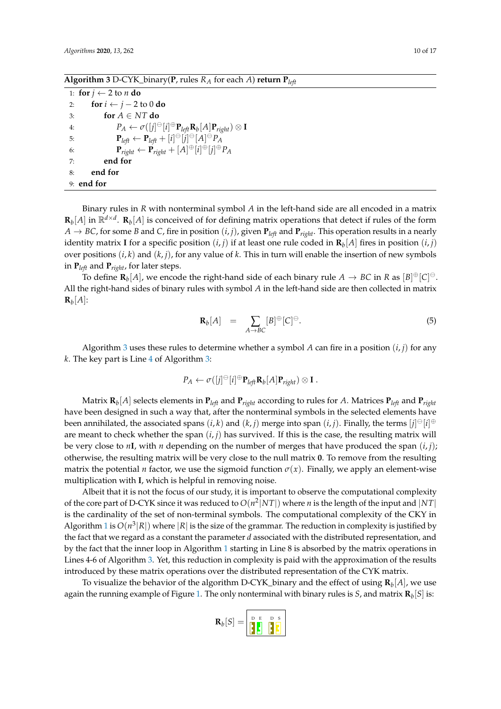<span id="page-9-0"></span>1: **for**  $j \leftarrow 2$  to *n* **do** 2: **for** *i* ← *j* − 2 to 0 **do** 3: **for**  $A \in NT$  **do** 4:  $P_A \leftarrow \sigma([j]^\ominus[i]^\oplus \mathbf{P}_{left} \mathbf{R}_b[A] \mathbf{P}_{right}) \otimes \mathbf{I}$ 5: **P**<sub>left</sub>  $\leftarrow$  **P**<sub>left</sub> + [**i**]<sup> $\ominus$ </sup>[*j*] $\ominus$ [*A*] $\ominus$ *P*<sup> $\stackrel{\frown}{A}$ </sup> 6: **P**<sub>*right*</sub>  $\leftarrow$  **P**<sub>*right*</sub> +  $[A] \oplus [i] \oplus [j] \oplus P_A$ 7: **end for** 8: **end for** 9: **end for**

Binary rules in *R* with nonterminal symbol *A* in the left-hand side are all encoded in a matrix  $\mathbf{R}_b[A]$  in  $\mathbb{R}^{d \times d}$ .  $\mathbf{R}_b[A]$  is conceived of for defining matrix operations that detect if rules of the form  $A \rightarrow BC$ , for some *B* and *C*, fire in position  $(i, j)$ , given  $P_{left}$  and  $P_{right}$ . This operation results in a nearly identity matrix **I** for a specific position  $(i, j)$  if at least one rule coded in  $\mathbf{R}_b[A]$  fires in position  $(i, j)$ over positions  $(i, k)$  and  $(k, j)$ , for any value of  $k$ . This in turn will enable the insertion of new symbols in **P***left* and **P***right*, for later steps.

To define  $\mathbf{R}_b[A]$ , we encode the right-hand side of each binary rule  $A\to BC$  in  $R$  as  $[B]^\oplus [C]^\ominus$ . All the right-hand sides of binary rules with symbol *A* in the left-hand side are then collected in matrix  $\mathbf{R}_b[A]$ :

<span id="page-9-1"></span>
$$
\mathbf{R}_b[A] = \sum_{A \to BC} [B]^\oplus [C]^\ominus. \tag{5}
$$

Algorithm [3](#page-9-0) uses these rules to determine whether a symbol  $A$  can fire in a position  $(i, j)$  for any *k*. The key part is Line [4](#page-8-0) of Algorithm [3:](#page-9-0)

$$
P_A \leftarrow \sigma([j] \oplus [i] \oplus \mathbf{P}_{\text{left}} \mathbf{R}_b[A] \mathbf{P}_{\text{right}}) \otimes \mathbf{I}.
$$

 $M$ atrix  $\mathbf{R}_b[A]$  selects elements in  $\mathbf{P}_{left}$  and  $\mathbf{P}_{right}$  according to rules for  $A$ . Matrices  $\mathbf{P}_{left}$  and  $\mathbf{P}_{right}$ have been designed in such a way that, after the nonterminal symbols in the selected elements have been annihilated, the associated spans  $(i, k)$  and  $(k, j)$  merge into span  $(i, j)$ . Finally, the terms  $[j] \oplus [i] \oplus j$ are meant to check whether the span  $(i, j)$  has survived. If this is the case, the resulting matrix will be very close to *n***I**, with *n* depending on the number of merges that have produced the span (*i*, *j*); otherwise, the resulting matrix will be very close to the null matrix **0**. To remove from the resulting matrix the potential *n* factor, we use the sigmoid function  $\sigma(x)$ . Finally, we apply an element-wise multiplication with **I**, which is helpful in removing noise.

Albeit that it is not the focus of our study, it is important to observe the computational complexity of the core part of D-CYK since it was reduced to  $O(n^2|NT|)$  where *n* is the length of the input and  $|NT|$ is the cardinality of the set of non-terminal symbols. The computational complexity of the CKY in Algorithm [1](#page-3-1) is  $O(n^3 |R|)$  where  $|R|$  is the size of the grammar. The reduction in complexity is justified by the fact that we regard as a constant the parameter *d* associated with the distributed representation, and by the fact that the inner loop in Algorithm [1](#page-3-1) starting in Line 8 is absorbed by the matrix operations in Lines 4-6 of Algorithm [3.](#page-9-0) Yet, this reduction in complexity is paid with the approximation of the results introduced by these matrix operations over the distributed representation of the CYK matrix.

To visualize the behavior of the algorithm D-CYK\_binary and the effect of using  $\mathbf{R}_b[A]$ , we use again the running example of Figure [1.](#page-4-0) The only nonterminal with binary rules is *S*, and matrix  $\mathbf{R}_b[S]$  is:

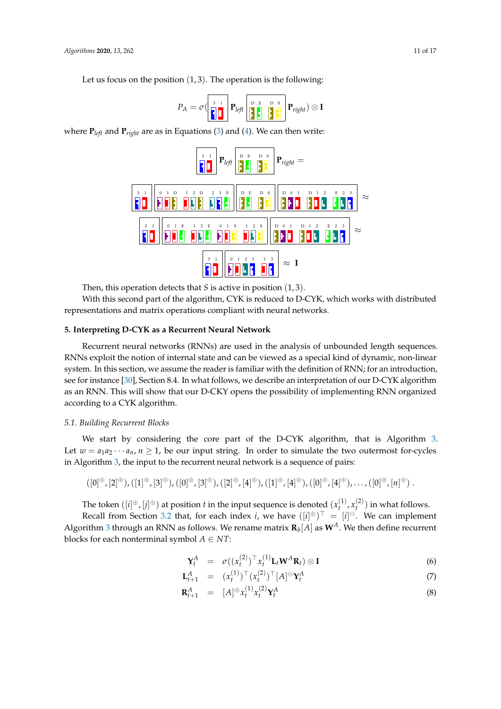Let us focus on the position  $(1, 3)$ . The operation is the following:

$$
P_A = \sigma \left( \begin{array}{c|c} \frac{3}{3} & 1 \\ \hline \frac{1}{3} & 1 \end{array} \right) \mathbf{P}_{\textit{left}} \left[ \begin{array}{c|c} \mathbf{D} & \mathbf{E} & \mathbf{D} & \mathbf{S} \\ \hline \frac{1}{3} & \mathbf{E} & \mathbf{E} \end{array} \right] \mathbf{P}_{\textit{right}} \right) \otimes \mathbf{I}
$$

where  $P_{left}$  and  $P_{right}$  are as in Equations [\(3\)](#page-8-1) and [\(4\)](#page-8-1). We can then write:



Then, this operation detects that *S* is active in position (1, 3).

With this second part of the algorithm, CYK is reduced to D-CYK, which works with distributed representations and matrix operations compliant with neural networks.

## **5. Interpreting D-CYK as a Recurrent Neural Network**

Recurrent neural networks (RNNs) are used in the analysis of unbounded length sequences. RNNs exploit the notion of internal state and can be viewed as a special kind of dynamic, non-linear system. In this section, we assume the reader is familiar with the definition of RNN; for an introduction, see for instance [\[30\]](#page-15-17), Section 8.4. In what follows, we describe an interpretation of our D-CYK algorithm as an RNN. This will show that our D-CKY opens the possibility of implementing RNN organized according to a CYK algorithm.

## <span id="page-10-0"></span>*5.1. Building Recurrent Blocks*

We start by considering the core part of the D-CYK algorithm, that is Algorithm [3.](#page-9-0) Let  $w = a_1 a_2 \cdots a_n$ ,  $n \ge 1$ , be our input string. In order to simulate the two outermost for-cycles in Algorithm [3,](#page-9-0) the input to the recurrent neural network is a sequence of pairs:

$$
([0]^\oplus, [2]^\oplus), ([1]^\oplus, [3]^\oplus), ([0]^\oplus, [3]^\oplus), ([2]^\oplus, [4]^\oplus), ([1]^\oplus, [4]^\oplus), ([0]^\oplus, [4]^\oplus), \ldots, ([0]^\oplus, [n]^\oplus) .
$$

The token  $([i]^{\oplus}, [j]^{\oplus})$  at position  $t$  in the input sequence is denoted  $(x_t^{(1)})$  $x_t^{(1)}, x_t^{(2)}$  $t_t^{(2)}$ ) in what follows. Recall from Section [3.2](#page-4-1) that, for each index *i*, we have  $([i] \oplus )^{\top} = [i] \oplus$ . We can implement Algorithm [3](#page-9-0) through an RNN as follows. We rename matrix  $\mathbf{R}_b[A]$  as  $\mathbf{W}^A$ . We then define recurrent

blocks for each nonterminal symbol  $A \in NT$ :

$$
\mathbf{Y}_t^A = \sigma((x_t^{(2)})^\top x_t^{(1)} \mathbf{L}_t \mathbf{W}^A \mathbf{R}_t) \otimes \mathbf{I}
$$
 (6)

$$
\mathbf{L}_{t+1}^A = (x_t^{(1)})^\top (x_t^{(2)})^\top [A]^\ominus \mathbf{Y}_t^A \tag{7}
$$

$$
\mathbf{R}_{t+1}^A = [A] \bigoplus x_t^{(1)} x_t^{(2)} \mathbf{Y}_t^A \tag{8}
$$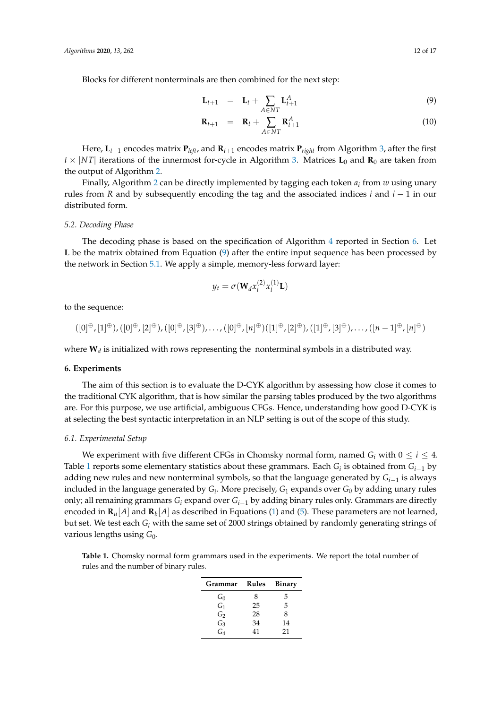Blocks for different nonterminals are then combined for the next step:

<span id="page-11-1"></span>
$$
\mathbf{L}_{t+1} = \mathbf{L}_t + \sum_{A \in NT} \mathbf{L}_{t+1}^A \tag{9}
$$

$$
\mathbf{R}_{t+1} = \mathbf{R}_t + \sum_{A \in \mathcal{NT}} \mathbf{R}_{t+1}^A \tag{10}
$$

Here,  $\mathbf{L}_{t+1}$  encodes matrix  $\mathbf{P}_{left}$ , and  $\mathbf{R}_{t+1}$  encodes matrix  $\mathbf{P}_{right}$  from Algorithm [3,](#page-9-0) after the first  $t \times |NT|$  iterations of the innermost for-cycle in Algorithm [3.](#page-9-0) Matrices  $L_0$  and  $\mathbf{R}_0$  are taken from the output of Algorithm [2.](#page-7-1)

Finally, Algorithm [2](#page-7-1) can be directly implemented by tagging each token *a<sup>i</sup>* from *w* using unary rules from *R* and by subsequently encoding the tag and the associated indices *i* and *i* − 1 in our distributed form.

## *5.2. Decoding Phase*

The decoding phase is based on the specification of Algorithm [4](#page-12-0) reported in Section [6.](#page-11-0) Let **L** be the matrix obtained from Equation [\(9\)](#page-11-1) after the entire input sequence has been processed by the network in Section [5.1.](#page-10-0) We apply a simple, memory-less forward layer:

$$
y_t = \sigma(\mathbf{W}_d x_t^{(2)} x_t^{(1)} \mathbf{L})
$$

to the sequence:

$$
([0]^\oplus, [1]^\oplus), ([0]^\oplus, [2]^\oplus), ([0]^\oplus, [3]^\oplus), \ldots, ([0]^\oplus, [n]^\oplus)([1]^\oplus, [2]^\oplus), ([1]^\oplus, [3]^\oplus), \ldots, ([n-1]^\oplus, [n]^\oplus)
$$

where  $\mathbf{W}_d$  is initialized with rows representing the nonterminal symbols in a distributed way.

## <span id="page-11-0"></span>**6. Experiments**

The aim of this section is to evaluate the D-CYK algorithm by assessing how close it comes to the traditional CYK algorithm, that is how similar the parsing tables produced by the two algorithms are. For this purpose, we use artificial, ambiguous CFGs. Hence, understanding how good D-CYK is at selecting the best syntactic interpretation in an NLP setting is out of the scope of this study.

#### *6.1. Experimental Setup*

We experiment with five different CFGs in Chomsky normal form, named  $G_i$  with  $0 \le i \le 4$ . Table [1](#page-11-2) reports some elementary statistics about these grammars. Each *G<sup>i</sup>* is obtained from *Gi*−<sup>1</sup> by adding new rules and new nonterminal symbols, so that the language generated by *Gi*−<sup>1</sup> is always included in the language generated by *G<sup>i</sup>* . More precisely, *G*<sup>1</sup> expands over *G*<sup>0</sup> by adding unary rules only; all remaining grammars *G<sup>i</sup>* expand over *Gi*−<sup>1</sup> by adding binary rules only. Grammars are directly encoded in  ${\bf R}_u[A]$  and  ${\bf R}_b[A]$  as described in Equations [\(1\)](#page-7-3) and [\(5\)](#page-9-1). These parameters are not learned, but set. We test each *G<sup>i</sup>* with the same set of 2000 strings obtained by randomly generating strings of various lengths using *G*0.

<span id="page-11-2"></span>**Table 1.** Chomsky normal form grammars used in the experiments. We report the total number of rules and the number of binary rules.

| Grammar        | Rules | <b>Binary</b> |
|----------------|-------|---------------|
| $G_0$          | 8     | 5             |
| G <sub>1</sub> | 25    | 5             |
| $G_2$          | 28    | 8             |
| $G_3$          | 34    | 14            |
| $G_4$          | 41    | 21            |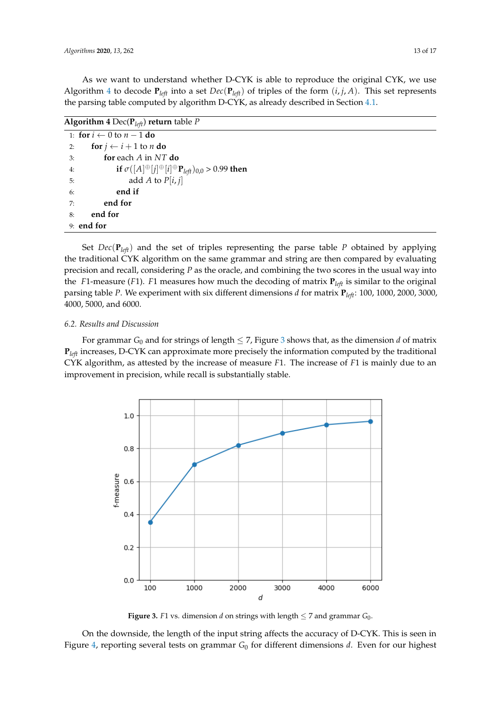As we want to understand whether D-CYK is able to reproduce the original CYK, we use Algorithm [4](#page-12-0) to decode  $P_{left}$  into a set  $Dec(P_{left})$  of triples of the form  $(i, j, A)$ . This set represents the parsing table computed by algorithm D-CYK, as already described in Section [4.1.](#page-6-0)

## <span id="page-12-0"></span>**Algorithm 4** Dec(**P***left*) **return** table *P*

|    | 1: for $i \leftarrow 0$ to $n-1$ do                                      |
|----|--------------------------------------------------------------------------|
| 2: | for $j \leftarrow i + 1$ to <i>n</i> do                                  |
| 3: | for each $A$ in NT do                                                    |
| 4: | if $\sigma([A] \oplus [j] \oplus [i] \oplus P_{left})_{0,0} > 0.99$ then |
| 5: | add A to $P[i, j]$                                                       |
| 6: | end if                                                                   |
| 7: | end for                                                                  |
| 8: | end for                                                                  |
|    | $9:$ end for                                                             |

Set  $Dec(P_{left})$  and the set of triples representing the parse table *P* obtained by applying the traditional CYK algorithm on the same grammar and string are then compared by evaluating precision and recall, considering *P* as the oracle, and combining the two scores in the usual way into the *F*1-measure (*F*1). *F*1 measures how much the decoding of matrix **P***left* is similar to the original parsing table *P*. We experiment with six different dimensions *d* for matrix **P***left*: 100, 1000, 2000, 3000, 4000, 5000, and 6000.

## *6.2. Results and Discussion*

For grammar  $G_0$  and for strings of length  $\leq$  7, Figure [3](#page-12-1) shows that, as the dimension *d* of matrix **P***left* increases, D-CYK can approximate more precisely the information computed by the traditional CYK algorithm, as attested by the increase of measure *F*1. The increase of *F*1 is mainly due to an improvement in precision, while recall is substantially stable.

<span id="page-12-1"></span>

**Figure 3.** *F*1 vs. dimension *d* on strings with length  $\leq$  7 and grammar  $G_0$ .

On the downside, the length of the input string affects the accuracy of D-CYK. This is seen in Figure [4,](#page-13-0) reporting several tests on grammar *G*<sup>0</sup> for different dimensions *d*. Even for our highest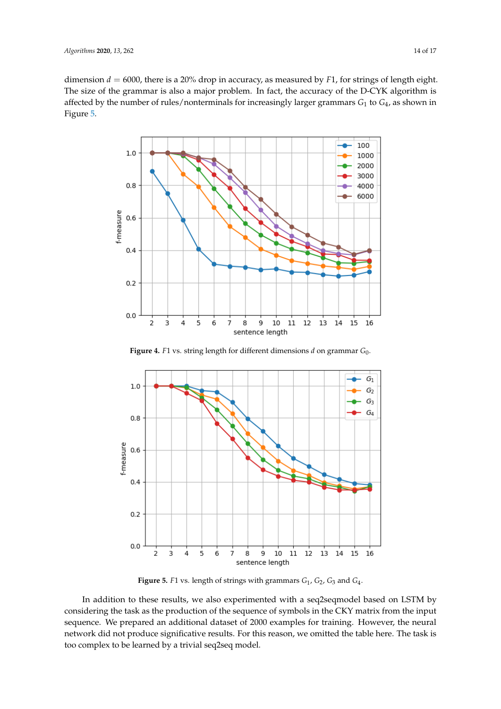dimension *d* = 6000, there is a 20% drop in accuracy, as measured by *F*1, for strings of length eight. The size of the grammar is also a major problem. In fact, the accuracy of the D-CYK algorithm is affected by the number of rules/nonterminals for increasingly larger grammars *G*<sup>1</sup> to *G*4, as shown in Figure [5.](#page-13-1)

<span id="page-13-0"></span>

**Figure 4.** *F*1 vs. string length for different dimensions *d* on grammar *G*0.

<span id="page-13-1"></span>

**Figure 5.** *F*1 vs. length of strings with grammars *G*<sup>1</sup> , *G*2, *G*<sup>3</sup> and *G*<sup>4</sup> .

In addition to these results, we also experimented with a seq2seqmodel based on LSTM by considering the task as the production of the sequence of symbols in the CKY matrix from the input sequence. We prepared an additional dataset of 2000 examples for training. However, the neural network did not produce significative results. For this reason, we omitted the table here. The task is too complex to be learned by a trivial seq2seq model.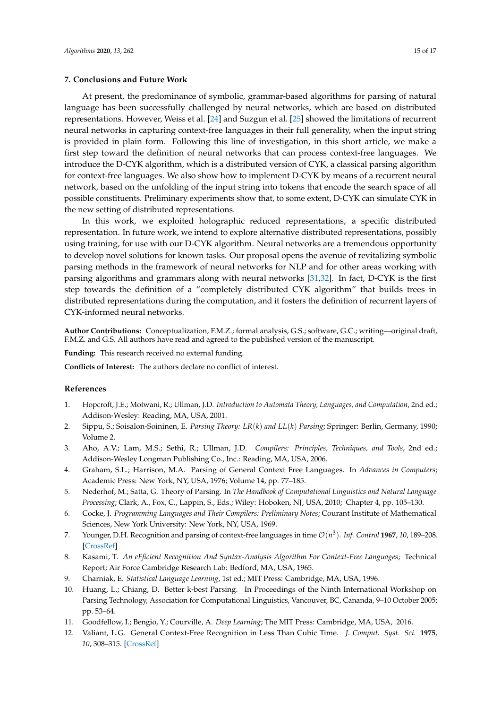## **7. Conclusions and Future Work**

At present, the predominance of symbolic, grammar-based algorithms for parsing of natural language has been successfully challenged by neural networks, which are based on distributed representations. However, Weiss et al. [\[24\]](#page-15-11) and Suzgun et al. [\[25\]](#page-15-12) showed the limitations of recurrent neural networks in capturing context-free languages in their full generality, when the input string is provided in plain form. Following this line of investigation, in this short article, we make a first step toward the definition of neural networks that can process context-free languages. We introduce the D-CYK algorithm, which is a distributed version of CYK, a classical parsing algorithm for context-free languages. We also show how to implement D-CYK by means of a recurrent neural network, based on the unfolding of the input string into tokens that encode the search space of all possible constituents. Preliminary experiments show that, to some extent, D-CYK can simulate CYK in the new setting of distributed representations.

In this work, we exploited holographic reduced representations, a specific distributed representation. In future work, we intend to explore alternative distributed representations, possibly using training, for use with our D-CYK algorithm. Neural networks are a tremendous opportunity to develop novel solutions for known tasks. Our proposal opens the avenue of revitalizing symbolic parsing methods in the framework of neural networks for NLP and for other areas working with parsing algorithms and grammars along with neural networks [\[31,](#page-16-0)[32\]](#page-16-1). In fact, D-CYK is the first step towards the definition of a "completely distributed CYK algorithm" that builds trees in distributed representations during the computation, and it fosters the definition of recurrent layers of CYK-informed neural networks.

**Author Contributions:** Conceptualization, F.M.Z.; formal analysis, G.S.; software, G.C.; writing—original draft, F.M.Z. and G.S. All authors have read and agreed to the published version of the manuscript.

**Funding:** This research received no external funding.

**Conflicts of Interest:** The authors declare no conflict of interest.

### **References**

- <span id="page-14-0"></span>1. Hopcroft, J.E.; Motwani, R.; Ullman, J.D. *Introduction to Automata Theory, Languages, and Computation*, 2nd ed.; Addison-Wesley: Reading, MA, USA, 2001.
- <span id="page-14-1"></span>2. Sippu, S.; Soisalon-Soininen, E. *Parsing Theory: LR*(*k*) *and LL*(*k*) *Parsing*; Springer: Berlin, Germany, 1990; Volume 2.
- <span id="page-14-2"></span>3. Aho, A.V.; Lam, M.S.; Sethi, R.; Ullman, J.D. *Compilers: Principles, Techniques, and Tools*, 2nd ed.; Addison-Wesley Longman Publishing Co., Inc.: Reading, MA, USA, 2006.
- <span id="page-14-3"></span>4. Graham, S.L.; Harrison, M.A. Parsing of General Context Free Languages. In *Advances in Computers*; Academic Press: New York, NY, USA, 1976; Volume 14, pp. 77–185.
- <span id="page-14-4"></span>5. Nederhof, M.; Satta, G. Theory of Parsing. In *The Handbook of Computational Linguistics and Natural Language Processing*; Clark, A., Fox, C., Lappin, S., Eds.; Wiley: Hoboken, NJ, USA, 2010; Chapter 4, pp. 105–130.
- <span id="page-14-5"></span>6. Cocke, J. *Programming Languages and Their Compilers: Preliminary Notes*; Courant Institute of Mathematical Sciences, New York University: New York, NY, USA, 1969.
- 7. Younger, D.H. Recognition and parsing of context-free languages in time O(*n* 3 ). *Inf. Control* **1967**, *10*, 189–208. [\[CrossRef\]](http://dx.doi.org/10.1016/S0019-9958(67)80007-X)
- <span id="page-14-6"></span>8. Kasami, T. *An eFficient Recognition And Syntax-Analysis Algorithm For Context-Free Languages*; Technical Report; Air Force Cambridge Research Lab: Bedford, MA, USA, 1965.
- <span id="page-14-8"></span><span id="page-14-7"></span>9. Charniak, E. *Statistical Language Learning*, 1st ed.; MIT Press: Cambridge, MA, USA, 1996.
- 10. Huang, L.; Chiang, D. Better k-best Parsing. In Proceedings of the Ninth International Workshop on Parsing Technology, Association for Computational Linguistics, Vancouver, BC, Cananda, 9–10 October 2005; pp. 53–64.
- <span id="page-14-10"></span><span id="page-14-9"></span>11. Goodfellow, I.; Bengio, Y.; Courville, A. *Deep Learning*; The MIT Press: Cambridge, MA, USA, 2016.
- 12. Valiant, L.G. General Context-Free Recognition in Less Than Cubic Time. *J. Comput. Syst. Sci.* **1975**, *10*, 308–315. [\[CrossRef\]](http://dx.doi.org/10.1016/S0022-0000(75)80046-8)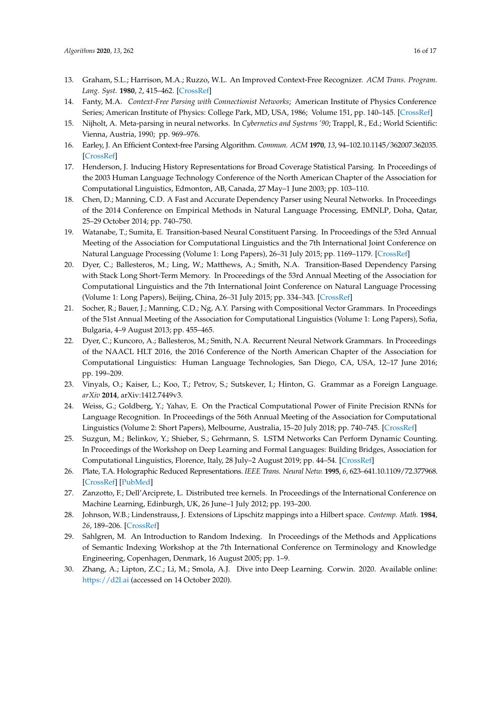- <span id="page-15-0"></span>13. Graham, S.L.; Harrison, M.A.; Ruzzo, W.L. An Improved Context-Free Recognizer. *ACM Trans. Program. Lang. Syst.* **1980**, *2*, 415–462. [\[CrossRef\]](http://dx.doi.org/10.1145/357103.357112)
- <span id="page-15-1"></span>14. Fanty, M.A. *Context-Free Parsing with Connectionist Networks*; American Institute of Physics Conference Series; American Institute of Physics: College Park, MD, USA, 1986; Volume 151, pp. 140–145. [\[CrossRef\]](http://dx.doi.org/10.1063/1.36271)
- <span id="page-15-2"></span>15. Nijholt, A. Meta-parsing in neural networks. In *Cybernetics and Systems '90*; Trappl, R., Ed.; World Scientific: Vienna, Austria, 1990; pp. 969–976.
- <span id="page-15-3"></span>16. Earley, J. An Efficient Context-free Parsing Algorithm. *Commun. ACM* **1970**, *13*, 94–102[.10.1145/362007.362035.](https://doi.org/10.1145/362007.362035) [\[CrossRef\]](http://dx.doi.org/10.1145/362007.362035)
- <span id="page-15-4"></span>17. Henderson, J. Inducing History Representations for Broad Coverage Statistical Parsing. In Proceedings of the 2003 Human Language Technology Conference of the North American Chapter of the Association for Computational Linguistics, Edmonton, AB, Canada, 27 May–1 June 2003; pp. 103–110.
- <span id="page-15-5"></span>18. Chen, D.; Manning, C.D. A Fast and Accurate Dependency Parser using Neural Networks. In Proceedings of the 2014 Conference on Empirical Methods in Natural Language Processing, EMNLP, Doha, Qatar, 25–29 October 2014; pp. 740–750.
- <span id="page-15-6"></span>19. Watanabe, T.; Sumita, E. Transition-based Neural Constituent Parsing. In Proceedings of the 53rd Annual Meeting of the Association for Computational Linguistics and the 7th International Joint Conference on Natural Language Processing (Volume 1: Long Papers), 26–31 July 2015; pp. 1169–1179. [\[CrossRef\]](http://dx.doi.org/10.3115/v1/P15-1113)
- <span id="page-15-7"></span>20. Dyer, C.; Ballesteros, M.; Ling, W.; Matthews, A.; Smith, N.A. Transition-Based Dependency Parsing with Stack Long Short-Term Memory. In Proceedings of the 53rd Annual Meeting of the Association for Computational Linguistics and the 7th International Joint Conference on Natural Language Processing (Volume 1: Long Papers), Beijing, China, 26–31 July 2015; pp. 334–343. [\[CrossRef\]](http://dx.doi.org/10.3115/v1/P15-1033)
- <span id="page-15-8"></span>21. Socher, R.; Bauer, J.; Manning, C.D.; Ng, A.Y. Parsing with Compositional Vector Grammars. In Proceedings of the 51st Annual Meeting of the Association for Computational Linguistics (Volume 1: Long Papers), Sofia, Bulgaria, 4–9 August 2013; pp. 455–465.
- <span id="page-15-9"></span>22. Dyer, C.; Kuncoro, A.; Ballesteros, M.; Smith, N.A. Recurrent Neural Network Grammars. In Proceedings of the NAACL HLT 2016, the 2016 Conference of the North American Chapter of the Association for Computational Linguistics: Human Language Technologies, San Diego, CA, USA, 12–17 June 2016; pp. 199–209.
- <span id="page-15-10"></span>23. Vinyals, O.; Kaiser, L.; Koo, T.; Petrov, S.; Sutskever, I.; Hinton, G. Grammar as a Foreign Language. *arXiv* **2014**, arXiv:1412.7449v3.
- <span id="page-15-11"></span>24. Weiss, G.; Goldberg, Y.; Yahav, E. On the Practical Computational Power of Finite Precision RNNs for Language Recognition. In Proceedings of the 56th Annual Meeting of the Association for Computational Linguistics (Volume 2: Short Papers), Melbourne, Australia, 15–20 July 2018; pp. 740–745. [\[CrossRef\]](http://dx.doi.org/10.18653/v1/P18-2117)
- <span id="page-15-12"></span>25. Suzgun, M.; Belinkov, Y.; Shieber, S.; Gehrmann, S. LSTM Networks Can Perform Dynamic Counting. In Proceedings of the Workshop on Deep Learning and Formal Languages: Building Bridges, Association for Computational Linguistics, Florence, Italy, 28 July–2 August 2019; pp. 44–54. [\[CrossRef\]](http://dx.doi.org/10.18653/v1/W19-3905)
- <span id="page-15-13"></span>26. Plate, T.A. Holographic Reduced Representations. *IEEE Trans. Neural Netw.* **1995**, *6*, 623–641[.10.1109/72.377968.](https://doi.org/10.1109/72.377968) [\[CrossRef\]](http://dx.doi.org/10.1109/72.377968) [\[PubMed\]](http://www.ncbi.nlm.nih.gov/pubmed/18263348)
- <span id="page-15-14"></span>27. Zanzotto, F.; Dell'Arciprete, L. Distributed tree kernels. In Proceedings of the International Conference on Machine Learning, Edinburgh, UK, 26 June–1 July 2012; pp. 193–200.
- <span id="page-15-15"></span>28. Johnson, W.B.; Lindenstrauss, J. Extensions of Lipschitz mappings into a Hilbert space. *Contemp. Math.* **1984**, *26*, 189–206. [\[CrossRef\]](http://dx.doi.org/10.1090/conm/026/737400)
- <span id="page-15-16"></span>29. Sahlgren, M. An Introduction to Random Indexing. In Proceedings of the Methods and Applications of Semantic Indexing Workshop at the 7th International Conference on Terminology and Knowledge Engineering, Copenhagen, Denmark, 16 August 2005; pp. 1–9.
- <span id="page-15-17"></span>30. Zhang, A.; Lipton, Z.C.; Li, M.; Smola, A.J. Dive into Deep Learning. Corwin. 2020. Available online: <https://d2l.ai> (accessed on 14 October 2020).